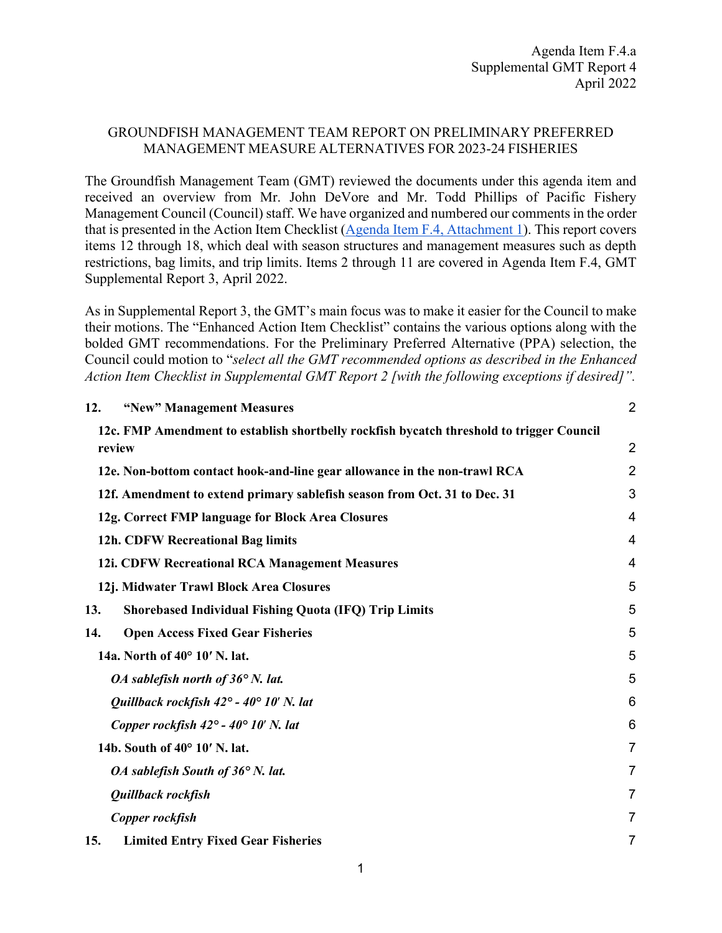## GROUNDFISH MANAGEMENT TEAM REPORT ON PRELIMINARY PREFERRED MANAGEMENT MEASURE ALTERNATIVES FOR 2023-24 FISHERIES

The Groundfish Management Team (GMT) reviewed the documents under this agenda item and received an overview from Mr. John DeVore and Mr. Todd Phillips of Pacific Fishery Management Council (Council) staff. We have organized and numbered our comments in the order that is presented in the Action Item Checklist [\(Agenda Item F.4, Attachment 1\)](https://www.pcouncil.org/documents/2022/03/f-4-attachment-1-action-item-checklist.pdf/). This report covers items 12 through 18, which deal with season structures and management measures such as depth restrictions, bag limits, and trip limits. Items 2 through 11 are covered in Agenda Item F.4, GMT Supplemental Report 3, April 2022.

As in Supplemental Report 3, the GMT's main focus was to make it easier for the Council to make their motions. The "Enhanced Action Item Checklist" contains the various options along with the bolded GMT recommendations. For the Preliminary Preferred Alternative (PPA) selection, the Council could motion to "*select all the GMT recommended options as described in the Enhanced Action Item Checklist in Supplemental GMT Report 2 [with the following exceptions if desired]".*

| 12. | "New" Management Measures                                                                          | $\overline{2}$ |
|-----|----------------------------------------------------------------------------------------------------|----------------|
|     | 12c. FMP Amendment to establish shortbelly rockfish bycatch threshold to trigger Council<br>review | $\overline{2}$ |
|     |                                                                                                    | $\overline{2}$ |
|     | 12e. Non-bottom contact hook-and-line gear allowance in the non-trawl RCA                          |                |
|     | 12f. Amendment to extend primary sablefish season from Oct. 31 to Dec. 31                          | 3              |
|     | 12g. Correct FMP language for Block Area Closures                                                  | 4              |
|     | 12h. CDFW Recreational Bag limits                                                                  | $\overline{4}$ |
|     | 12i. CDFW Recreational RCA Management Measures                                                     | 4              |
|     | 12j. Midwater Trawl Block Area Closures                                                            | 5              |
| 13. | <b>Shorebased Individual Fishing Quota (IFQ) Trip Limits</b>                                       | 5              |
| 14. | <b>Open Access Fixed Gear Fisheries</b>                                                            | 5              |
|     | 14a. North of 40° 10' N. lat.                                                                      | 5              |
|     | OA sablefish north of $36^{\circ}$ N. lat.                                                         | 5              |
|     | Quillback rockfish $42^{\circ}$ - $40^{\circ}$ 10' N. lat                                          | 6              |
|     | Copper rockfish $42^{\circ}$ - $40^{\circ}$ 10' N. lat                                             | 6              |
|     | 14b. South of 40° 10' N. lat.                                                                      | $\overline{7}$ |
|     | OA sablefish South of $36^{\circ}$ N. lat.                                                         | $\overline{7}$ |
|     | Quillback rockfish                                                                                 | $\overline{7}$ |
|     | Copper rockfish                                                                                    | $\overline{7}$ |
| 15. | <b>Limited Entry Fixed Gear Fisheries</b>                                                          | 7              |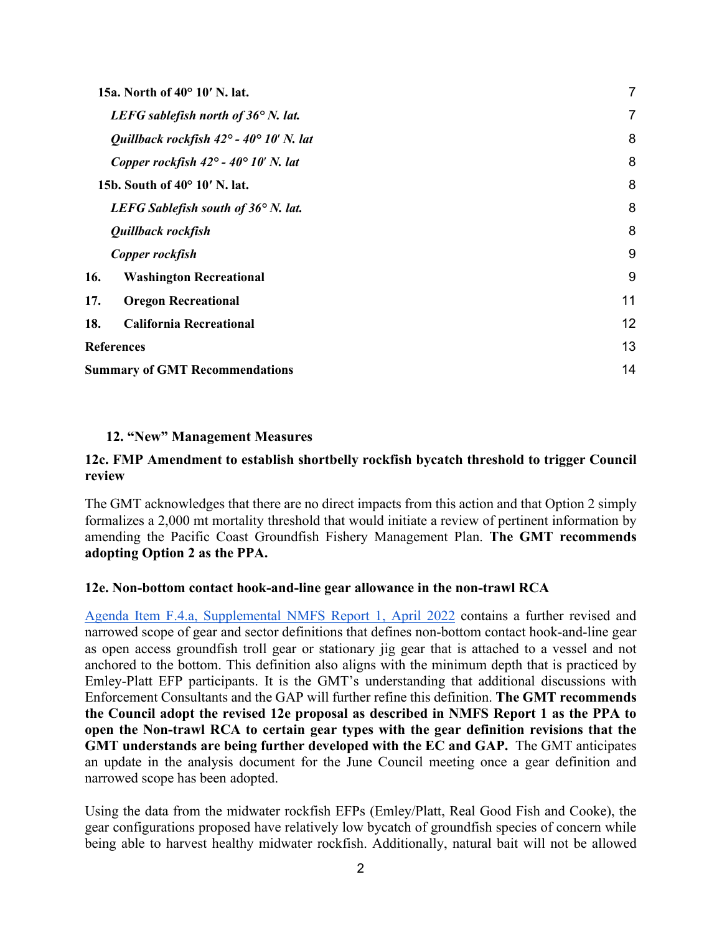|                   | 15a. North of 40° 10' N. lat.                             | 7  |
|-------------------|-----------------------------------------------------------|----|
|                   | LEFG sablefish north of $36^{\circ}$ N. lat.              | 7  |
|                   | Quillback rockfish $42^{\circ}$ - $40^{\circ}$ 10' N. lat | 8  |
|                   | Copper rockfish $42^{\circ}$ - $40^{\circ}$ 10' N. lat    | 8  |
|                   | 15b. South of 40° 10' N. lat.                             | 8  |
|                   | LEFG Sablefish south of $36^{\circ}$ N. lat.              | 8  |
|                   | Quillback rockfish                                        | 8  |
|                   | Copper rockfish                                           | 9  |
| 16.               | <b>Washington Recreational</b>                            | 9  |
| 17.               | <b>Oregon Recreational</b>                                | 11 |
| 18.               | <b>California Recreational</b>                            | 12 |
| <b>References</b> |                                                           | 13 |
|                   | <b>Summary of GMT Recommendations</b>                     | 14 |

## <span id="page-1-0"></span>**12. "New" Management Measures**

## <span id="page-1-1"></span>**12c. FMP Amendment to establish shortbelly rockfish bycatch threshold to trigger Council review**

The GMT acknowledges that there are no direct impacts from this action and that Option 2 simply formalizes a 2,000 mt mortality threshold that would initiate a review of pertinent information by amending the Pacific Coast Groundfish Fishery Management Plan. **The GMT recommends adopting Option 2 as the PPA.**

## <span id="page-1-2"></span>**12e. Non-bottom contact hook-and-line gear allowance in the non-trawl RCA**

[Agenda Item F.4.a, Supplemental NMFS Report 1, April 2022](https://www.pcouncil.org/documents/2022/03/f-4-a-supplemental-nmfs-report-1-2.pdf/) contains a further revised and narrowed scope of gear and sector definitions that defines non-bottom contact hook-and-line gear as open access groundfish troll gear or stationary jig gear that is attached to a vessel and not anchored to the bottom. This definition also aligns with the minimum depth that is practiced by Emley-Platt EFP participants. It is the GMT's understanding that additional discussions with Enforcement Consultants and the GAP will further refine this definition. **The GMT recommends the Council adopt the revised 12e proposal as described in NMFS Report 1 as the PPA to open the Non-trawl RCA to certain gear types with the gear definition revisions that the GMT understands are being further developed with the EC and GAP.** The GMT anticipates an update in the analysis document for the June Council meeting once a gear definition and narrowed scope has been adopted.

Using the data from the midwater rockfish EFPs (Emley/Platt, Real Good Fish and Cooke), the gear configurations proposed have relatively low bycatch of groundfish species of concern while being able to harvest healthy midwater rockfish. Additionally, natural bait will not be allowed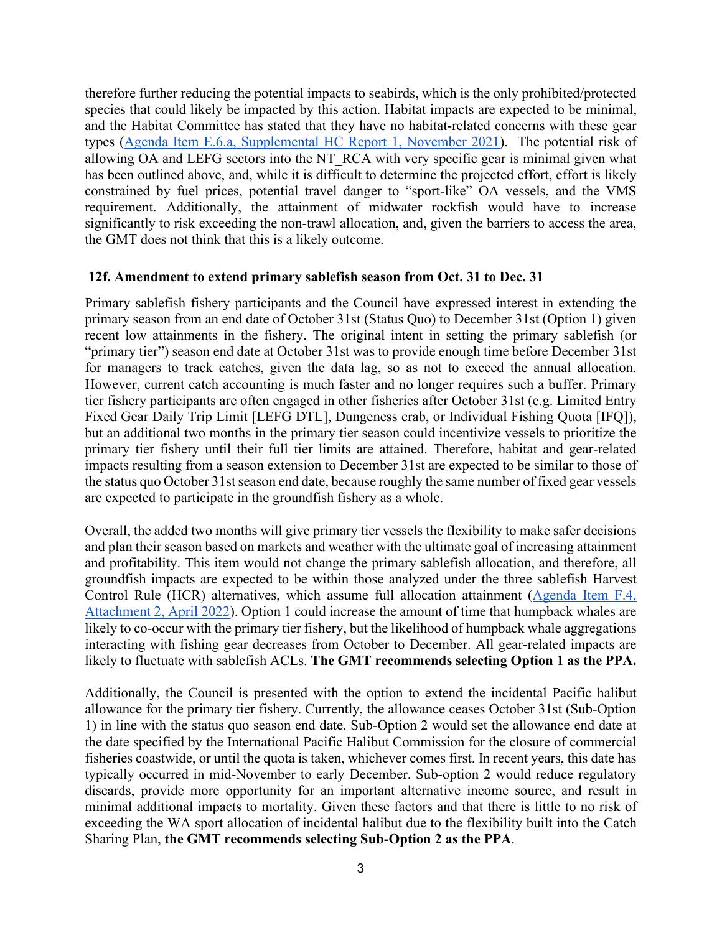therefore further reducing the potential impacts to seabirds, which is the only prohibited/protected species that could likely be impacted by this action. Habitat impacts are expected to be minimal, and the Habitat Committee has stated that they have no habitat-related concerns with these gear types [\(Agenda Item E.6.a, Supplemental HC Report 1, November 2021\)](https://www.pcouncil.org/documents/2021/11/e-6-a-supplemental-hc-report-1.pdf/). The potential risk of allowing OA and LEFG sectors into the NT\_RCA with very specific gear is minimal given what has been outlined above, and, while it is difficult to determine the projected effort, effort is likely constrained by fuel prices, potential travel danger to "sport-like" OA vessels, and the VMS requirement. Additionally, the attainment of midwater rockfish would have to increase significantly to risk exceeding the non-trawl allocation, and, given the barriers to access the area, the GMT does not think that this is a likely outcome.

#### <span id="page-2-0"></span>**12f. Amendment to extend primary sablefish season from Oct. 31 to Dec. 31**

Primary sablefish fishery participants and the Council have expressed interest in extending the primary season from an end date of October 31st (Status Quo) to December 31st (Option 1) given recent low attainments in the fishery. The original intent in setting the primary sablefish (or "primary tier") season end date at October 31st was to provide enough time before December 31st for managers to track catches, given the data lag, so as not to exceed the annual allocation. However, current catch accounting is much faster and no longer requires such a buffer. Primary tier fishery participants are often engaged in other fisheries after October 31st (e.g. Limited Entry Fixed Gear Daily Trip Limit [LEFG DTL], Dungeness crab, or Individual Fishing Quota [IFQ]), but an additional two months in the primary tier season could incentivize vessels to prioritize the primary tier fishery until their full tier limits are attained. Therefore, habitat and gear-related impacts resulting from a season extension to December 31st are expected to be similar to those of the status quo October 31st season end date, because roughly the same number of fixed gear vessels are expected to participate in the groundfish fishery as a whole.

Overall, the added two months will give primary tier vessels the flexibility to make safer decisions and plan their season based on markets and weather with the ultimate goal of increasing attainment and profitability. This item would not change the primary sablefish allocation, and therefore, all groundfish impacts are expected to be within those analyzed under the three sablefish Harvest Control Rule (HCR) alternatives, which assume full allocation attainment [\(Agenda Item F.4,](https://www.pcouncil.org/documents/2022/03/f-4-attachment-2-2023-2024-management-measure-analytical-document-electronic-only.pdf/)  [Attachment 2, April 2022\)](https://www.pcouncil.org/documents/2022/03/f-4-attachment-2-2023-2024-management-measure-analytical-document-electronic-only.pdf/). Option 1 could increase the amount of time that humpback whales are likely to co-occur with the primary tier fishery, but the likelihood of humpback whale aggregations interacting with fishing gear decreases from October to December. All gear-related impacts are likely to fluctuate with sablefish ACLs. **The GMT recommends selecting Option 1 as the PPA.** 

Additionally, the Council is presented with the option to extend the incidental Pacific halibut allowance for the primary tier fishery. Currently, the allowance ceases October 31st (Sub-Option 1) in line with the status quo season end date. Sub-Option 2 would set the allowance end date at the date specified by the International Pacific Halibut Commission for the closure of commercial fisheries coastwide, or until the quota is taken, whichever comes first. In recent years, this date has typically occurred in mid-November to early December. Sub-option 2 would reduce regulatory discards, provide more opportunity for an important alternative income source, and result in minimal additional impacts to mortality. Given these factors and that there is little to no risk of exceeding the WA sport allocation of incidental halibut due to the flexibility built into the Catch Sharing Plan, **the GMT recommends selecting Sub-Option 2 as the PPA**.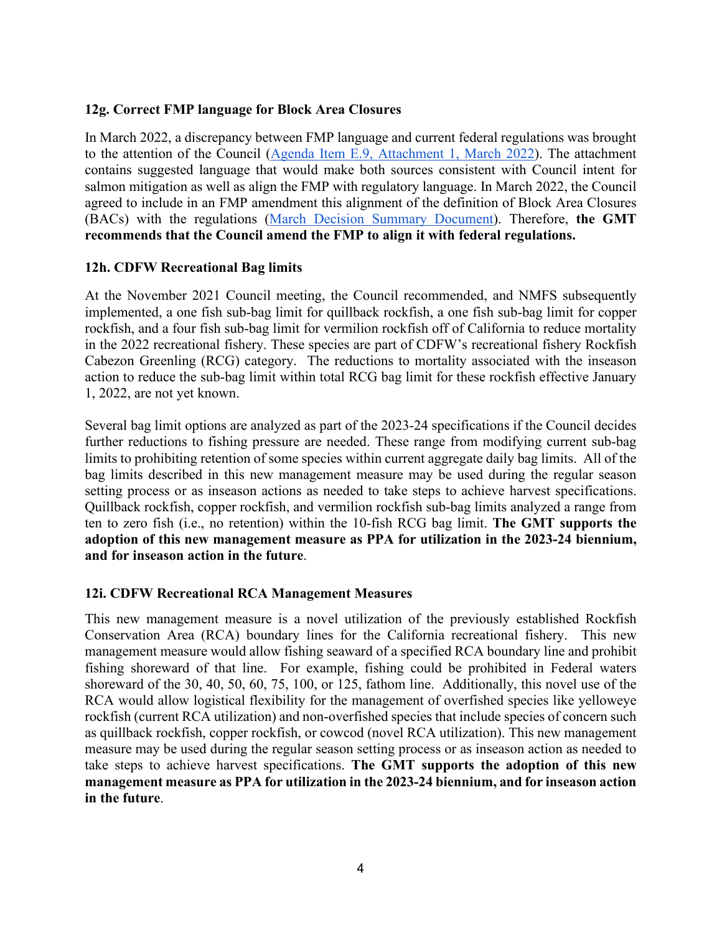# <span id="page-3-0"></span>**12g. Correct FMP language for Block Area Closures**

In March 2022, a discrepancy between FMP language and current federal regulations was brought to the attention of the Council [\(Agenda Item E.9, Attachment 1, March 2022\)](https://www.pcouncil.org/documents/2022/02/e-9-attachment-1-update-to-the-pacific-coast-groundfish-fishery-management-plan-regarding-block-area-closures-march-2022.pdf/). The attachment contains suggested language that would make both sources consistent with Council intent for salmon mitigation as well as align the FMP with regulatory language. In March 2022, the Council agreed to include in an FMP amendment this alignment of the definition of Block Area Closures (BACs) with the regulations [\(March Decision Summary Document\)](https://www.pcouncil.org/march-2022-decision-summary-document/#groundfish-management-toc-7bdc2051-895a-4a25-a546-5184fe1abe91). Therefore, **the GMT recommends that the Council amend the FMP to align it with federal regulations.** 

# <span id="page-3-1"></span>**12h. CDFW Recreational Bag limits**

At the November 2021 Council meeting, the Council recommended, and NMFS subsequently implemented, a one fish sub-bag limit for quillback rockfish, a one fish sub-bag limit for copper rockfish, and a four fish sub-bag limit for vermilion rockfish off of California to reduce mortality in the 2022 recreational fishery. These species are part of CDFW's recreational fishery Rockfish Cabezon Greenling (RCG) category. The reductions to mortality associated with the inseason action to reduce the sub-bag limit within total RCG bag limit for these rockfish effective January 1, 2022, are not yet known.

Several bag limit options are analyzed as part of the 2023-24 specifications if the Council decides further reductions to fishing pressure are needed. These range from modifying current sub-bag limits to prohibiting retention of some species within current aggregate daily bag limits. All of the bag limits described in this new management measure may be used during the regular season setting process or as inseason actions as needed to take steps to achieve harvest specifications. Quillback rockfish, copper rockfish, and vermilion rockfish sub-bag limits analyzed a range from ten to zero fish (i.e., no retention) within the 10-fish RCG bag limit. **The GMT supports the adoption of this new management measure as PPA for utilization in the 2023-24 biennium, and for inseason action in the future**.

## <span id="page-3-2"></span>**12i. CDFW Recreational RCA Management Measures**

This new management measure is a novel utilization of the previously established Rockfish Conservation Area (RCA) boundary lines for the California recreational fishery. This new management measure would allow fishing seaward of a specified RCA boundary line and prohibit fishing shoreward of that line. For example, fishing could be prohibited in Federal waters shoreward of the 30, 40, 50, 60, 75, 100, or 125, fathom line. Additionally, this novel use of the RCA would allow logistical flexibility for the management of overfished species like yelloweye rockfish (current RCA utilization) and non-overfished species that include species of concern such as quillback rockfish, copper rockfish, or cowcod (novel RCA utilization). This new management measure may be used during the regular season setting process or as inseason action as needed to take steps to achieve harvest specifications. **The GMT supports the adoption of this new management measure as PPA for utilization in the 2023-24 biennium, and for inseason action in the future**.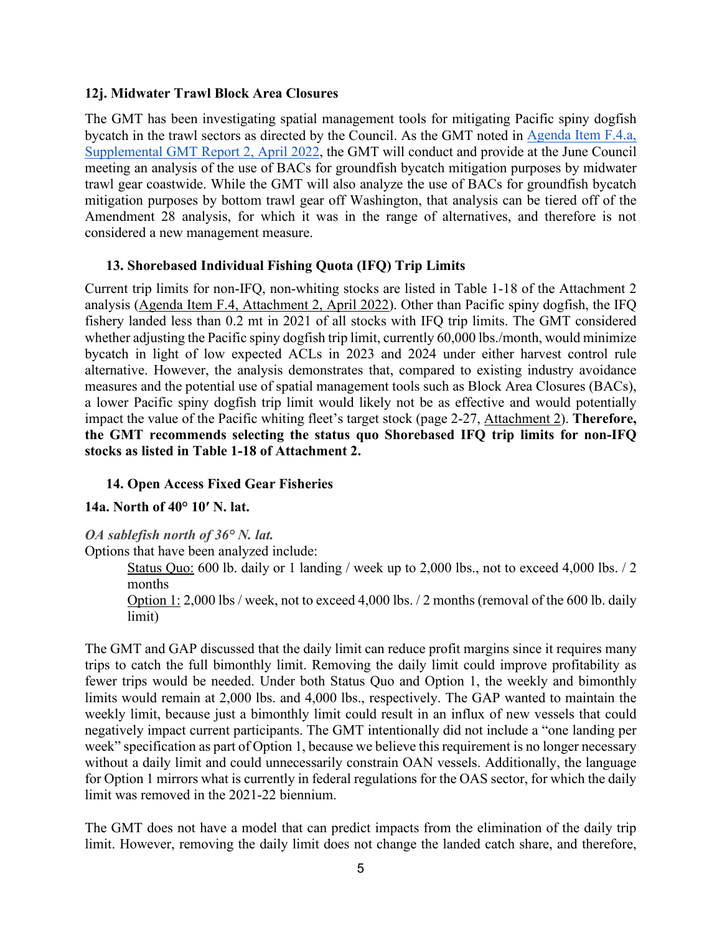## <span id="page-4-0"></span>**12j. Midwater Trawl Block Area Closures**

The GMT has been investigating spatial management tools for mitigating Pacific spiny dogfish bycatch in the trawl sectors as directed by the Council. As the GMT noted in [Agenda Item F.4.a,](https://www.pcouncil.org/documents/2022/03/f-4-a-supplemental-gmt-report-2.pdf/)  [Supplemental GMT Report 2, April 2022,](https://www.pcouncil.org/documents/2022/03/f-4-a-supplemental-gmt-report-2.pdf/) the GMT will conduct and provide at the June Council meeting an analysis of the use of BACs for groundfish bycatch mitigation purposes by midwater trawl gear coastwide. While the GMT will also analyze the use of BACs for groundfish bycatch mitigation purposes by bottom trawl gear off Washington, that analysis can be tiered off of the Amendment 28 analysis, for which it was in the range of alternatives, and therefore is not considered a new management measure.

# <span id="page-4-1"></span>**13. Shorebased Individual Fishing Quota (IFQ) Trip Limits**

Current trip limits for non-IFQ, non-whiting stocks are listed in Table 1-18 of the Attachment 2 analysis [\(Agenda Item F.4, Attachment 2, April 2022\)](https://www.pcouncil.org/documents/2022/03/f-4-attachment-2-2023-2024-management-measure-analytical-document-electronic-only.pdf/). Other than Pacific spiny dogfish, the IFQ fishery landed less than 0.2 mt in 2021 of all stocks with IFQ trip limits. The GMT considered whether adjusting the Pacific spiny dogfish trip limit, currently 60,000 lbs./month, would minimize bycatch in light of low expected ACLs in 2023 and 2024 under either harvest control rule alternative. However, the analysis demonstrates that, compared to existing industry avoidance measures and the potential use of spatial management tools such as Block Area Closures (BACs), a lower Pacific spiny dogfish trip limit would likely not be as effective and would potentially impact the value of the Pacific whiting fleet's target stock (page 2-27, [Attachment 2\)](https://www.pcouncil.org/documents/2022/03/f-4-attachment-2-2023-2024-management-measure-analytical-document-electronic-only.pdf/). **Therefore, the GMT recommends selecting the status quo Shorebased IFQ trip limits for non-IFQ stocks as listed in Table 1-18 of Attachment 2.**

# <span id="page-4-2"></span>**14. Open Access Fixed Gear Fisheries**

## <span id="page-4-3"></span>**14a. North of 40° 10′ N. lat.**

## <span id="page-4-4"></span>*OA sablefish north of 36° N. lat.*

Options that have been analyzed include:

Status Quo: 600 lb. daily or 1 landing / week up to 2,000 lbs., not to exceed 4,000 lbs. / 2 months

Option 1: 2,000 lbs / week, not to exceed 4,000 lbs. / 2 months (removal of the 600 lb. daily limit)

The GMT and GAP discussed that the daily limit can reduce profit margins since it requires many trips to catch the full bimonthly limit. Removing the daily limit could improve profitability as fewer trips would be needed. Under both Status Quo and Option 1, the weekly and bimonthly limits would remain at 2,000 lbs. and 4,000 lbs., respectively. The GAP wanted to maintain the weekly limit, because just a bimonthly limit could result in an influx of new vessels that could negatively impact current participants. The GMT intentionally did not include a "one landing per week" specification as part of Option 1, because we believe this requirement is no longer necessary without a daily limit and could unnecessarily constrain OAN vessels. Additionally, the language for Option 1 mirrors what is currently in federal regulations for the OAS sector, for which the daily limit was removed in the 2021-22 biennium.

The GMT does not have a model that can predict impacts from the elimination of the daily trip limit. However, removing the daily limit does not change the landed catch share, and therefore,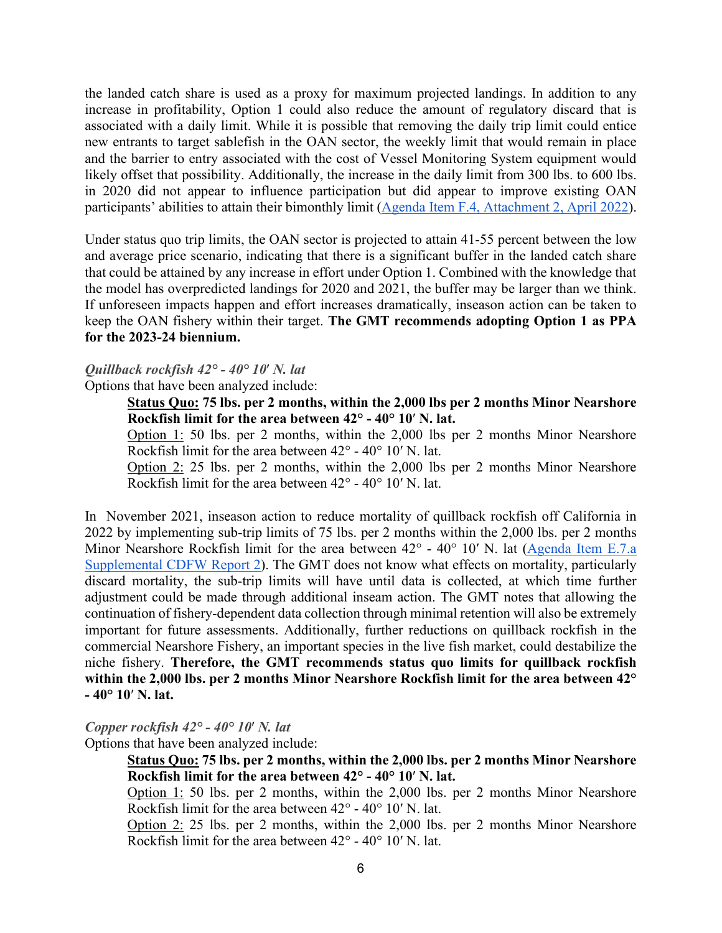the landed catch share is used as a proxy for maximum projected landings. In addition to any increase in profitability, Option 1 could also reduce the amount of regulatory discard that is associated with a daily limit. While it is possible that removing the daily trip limit could entice new entrants to target sablefish in the OAN sector, the weekly limit that would remain in place and the barrier to entry associated with the cost of Vessel Monitoring System equipment would likely offset that possibility. Additionally, the increase in the daily limit from 300 lbs. to 600 lbs. in 2020 did not appear to influence participation but did appear to improve existing OAN participants' abilities to attain their bimonthly limit [\(Agenda Item F.4, Attachment 2, April 2022\)](https://www.pcouncil.org/documents/2022/03/f-4-attachment-2-2023-2024-management-measure-analytical-document-electronic-only.pdf/).

Under status quo trip limits, the OAN sector is projected to attain 41-55 percent between the low and average price scenario, indicating that there is a significant buffer in the landed catch share that could be attained by any increase in effort under Option 1. Combined with the knowledge that the model has overpredicted landings for 2020 and 2021, the buffer may be larger than we think. If unforeseen impacts happen and effort increases dramatically, inseason action can be taken to keep the OAN fishery within their target. **The GMT recommends adopting Option 1 as PPA for the 2023-24 biennium.**

# <span id="page-5-0"></span>*Quillback rockfish 42° - 40° 10*′ *N. lat*

Options that have been analyzed include:

**Status Quo: 75 lbs. per 2 months, within the 2,000 lbs per 2 months Minor Nearshore Rockfish limit for the area between 42° - 40° 10**′ **N. lat.**

Option 1: 50 lbs. per 2 months, within the 2,000 lbs per 2 months Minor Nearshore Rockfish limit for the area between 42° - 40° 10′ N. lat.

Option 2: 25 lbs. per 2 months, within the 2,000 lbs per 2 months Minor Nearshore Rockfish limit for the area between 42° - 40° 10′ N. lat.

In November 2021, inseason action to reduce mortality of quillback rockfish off California in 2022 by implementing sub-trip limits of 75 lbs. per 2 months within the 2,000 lbs. per 2 months Minor Nearshore Rockfish limit for the area between 42° - 40° 10′ N. lat (Agenda Item E.7.a) [Supplemental CDFW Report 2\)](https://www.pcouncil.org/documents/2021/11/e-7-a-supplemental-cdfw-report-2.pdf/). The GMT does not know what effects on mortality, particularly discard mortality, the sub-trip limits will have until data is collected, at which time further adjustment could be made through additional inseam action. The GMT notes that allowing the continuation of fishery-dependent data collection through minimal retention will also be extremely important for future assessments. Additionally, further reductions on quillback rockfish in the commercial Nearshore Fishery, an important species in the live fish market, could destabilize the niche fishery. **Therefore, the GMT recommends status quo limits for quillback rockfish within the 2,000 lbs. per 2 months Minor Nearshore Rockfish limit for the area between 42° - 40° 10**′ **N. lat.**

<span id="page-5-1"></span>*Copper rockfish 42° - 40° 10*′ *N. lat*

Options that have been analyzed include:

**Status Quo: 75 lbs. per 2 months, within the 2,000 lbs. per 2 months Minor Nearshore Rockfish limit for the area between 42° - 40° 10**′ **N. lat.**

Option 1: 50 lbs. per 2 months, within the 2,000 lbs. per 2 months Minor Nearshore Rockfish limit for the area between 42° - 40° 10′ N. lat.

Option 2: 25 lbs. per 2 months, within the 2,000 lbs. per 2 months Minor Nearshore Rockfish limit for the area between 42° - 40° 10′ N. lat.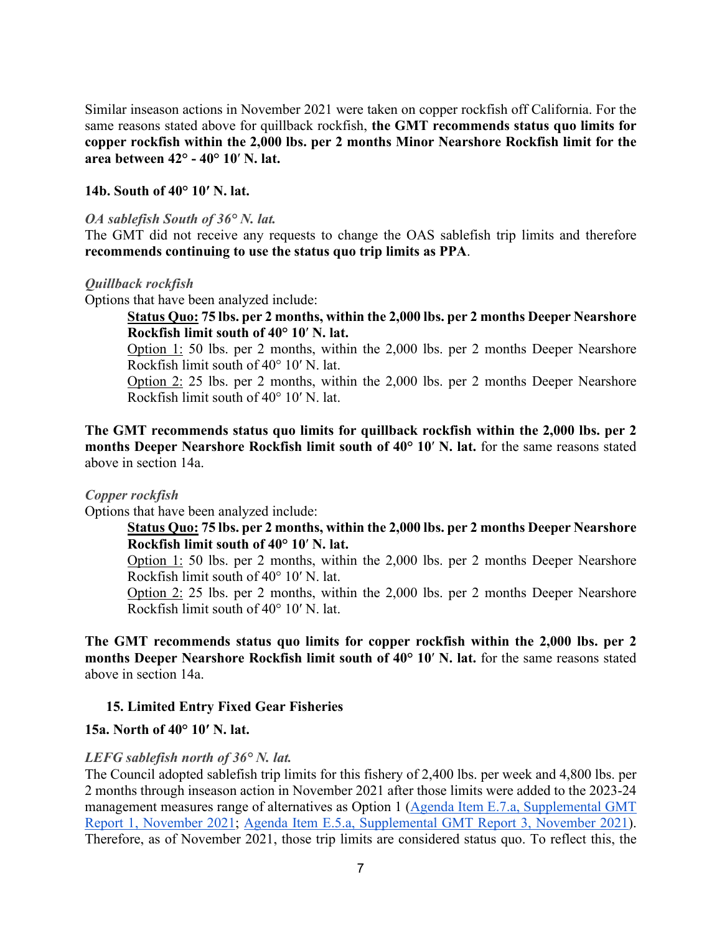Similar inseason actions in November 2021 were taken on copper rockfish off California. For the same reasons stated above for quillback rockfish, **the GMT recommends status quo limits for copper rockfish within the 2,000 lbs. per 2 months Minor Nearshore Rockfish limit for the area between 42° - 40° 10**′ **N. lat.**

#### <span id="page-6-0"></span>**14b. South of 40° 10′ N. lat.**

#### <span id="page-6-1"></span>*OA sablefish South of 36° N. lat.*

The GMT did not receive any requests to change the OAS sablefish trip limits and therefore **recommends continuing to use the status quo trip limits as PPA**.

#### <span id="page-6-2"></span>*Quillback rockfish*

Options that have been analyzed include:

## **Status Quo: 75 lbs. per 2 months, within the 2,000 lbs. per 2 months Deeper Nearshore Rockfish limit south of 40° 10**′ **N. lat.**

Option 1: 50 lbs. per 2 months, within the 2,000 lbs. per 2 months Deeper Nearshore Rockfish limit south of 40° 10′ N. lat.

Option 2: 25 lbs. per 2 months, within the 2,000 lbs. per 2 months Deeper Nearshore Rockfish limit south of 40° 10′ N. lat.

**The GMT recommends status quo limits for quillback rockfish within the 2,000 lbs. per 2 months Deeper Nearshore Rockfish limit south of 40° 10**′ **N. lat.** for the same reasons stated above in section 14a.

#### <span id="page-6-3"></span>*Copper rockfish*

Options that have been analyzed include:

## **Status Quo: 75 lbs. per 2 months, within the 2,000 lbs. per 2 months Deeper Nearshore Rockfish limit south of 40° 10**′ **N. lat.**

Option 1: 50 lbs. per 2 months, within the 2,000 lbs. per 2 months Deeper Nearshore Rockfish limit south of 40° 10′ N. lat.

Option 2: 25 lbs. per 2 months, within the 2,000 lbs. per 2 months Deeper Nearshore Rockfish limit south of 40° 10′ N. lat.

**The GMT recommends status quo limits for copper rockfish within the 2,000 lbs. per 2 months Deeper Nearshore Rockfish limit south of 40° 10**′ **N. lat.** for the same reasons stated above in section 14a.

## <span id="page-6-4"></span>**15. Limited Entry Fixed Gear Fisheries**

## <span id="page-6-5"></span>**15a. North of 40° 10′ N. lat.**

## <span id="page-6-6"></span>*LEFG sablefish north of 36° N. lat.*

The Council adopted sablefish trip limits for this fishery of 2,400 lbs. per week and 4,800 lbs. per 2 months through inseason action in November 2021 after those limits were added to the 2023-24 management measures range of alternatives as Option 1 [\(Agenda Item E.7.a, Supplemental GMT](https://www.pcouncil.org/documents/2021/11/e-7-a-supplemental-gmt-report-1-2.pdf/)  [Report 1, November 2021;](https://www.pcouncil.org/documents/2021/11/e-7-a-supplemental-gmt-report-1-2.pdf/) [Agenda Item E.5.a, Supplemental GMT Report 3, November 2021\)](https://www.pcouncil.org/documents/2021/11/e-5-a-supplemental-gmt-report-3-management-measure-items-12-through-18-from-the-action-item-checklist.pdf/). Therefore, as of November 2021, those trip limits are considered status quo. To reflect this, the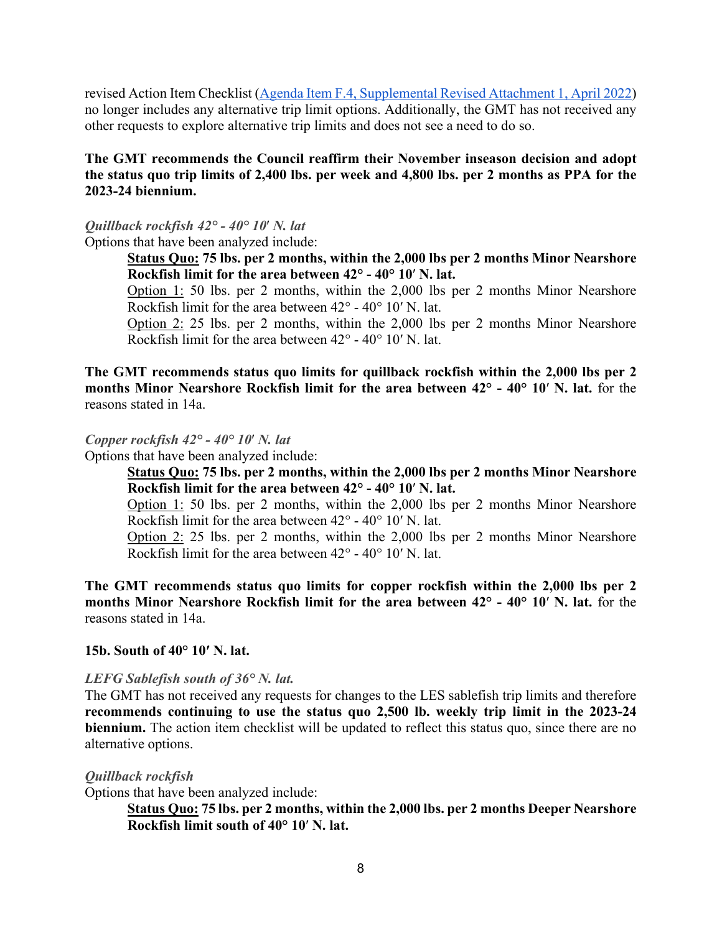revised Action Item Checklist [\(Agenda Item F.4, Supplemental Revised Attachment 1, April 2022\)](https://www.pcouncil.org/documents/2022/04/f-4-attachment-1-action-item-checklist.pdf/) no longer includes any alternative trip limit options. Additionally, the GMT has not received any other requests to explore alternative trip limits and does not see a need to do so.

# **The GMT recommends the Council reaffirm their November inseason decision and adopt the status quo trip limits of 2,400 lbs. per week and 4,800 lbs. per 2 months as PPA for the 2023-24 biennium.**

# <span id="page-7-0"></span>*Quillback rockfish 42° - 40° 10*′ *N. lat*

Options that have been analyzed include:

**Status Quo: 75 lbs. per 2 months, within the 2,000 lbs per 2 months Minor Nearshore Rockfish limit for the area between 42° - 40° 10**′ **N. lat.**

Option 1: 50 lbs. per 2 months, within the 2,000 lbs per 2 months Minor Nearshore Rockfish limit for the area between 42° - 40° 10′ N. lat.

Option 2: 25 lbs. per 2 months, within the 2,000 lbs per 2 months Minor Nearshore Rockfish limit for the area between 42° - 40° 10′ N. lat.

**The GMT recommends status quo limits for quillback rockfish within the 2,000 lbs per 2 months Minor Nearshore Rockfish limit for the area between 42° - 40° 10**′ **N. lat.** for the reasons stated in 14a.

<span id="page-7-1"></span>*Copper rockfish 42° - 40° 10*′ *N. lat*

Options that have been analyzed include:

**Status Quo: 75 lbs. per 2 months, within the 2,000 lbs per 2 months Minor Nearshore Rockfish limit for the area between 42° - 40° 10**′ **N. lat.**

Option 1: 50 lbs. per 2 months, within the 2,000 lbs per 2 months Minor Nearshore Rockfish limit for the area between 42° - 40° 10′ N. lat.

Option 2: 25 lbs. per 2 months, within the 2,000 lbs per 2 months Minor Nearshore Rockfish limit for the area between 42° - 40° 10′ N. lat.

**The GMT recommends status quo limits for copper rockfish within the 2,000 lbs per 2 months Minor Nearshore Rockfish limit for the area between 42° - 40° 10**′ **N. lat.** for the reasons stated in 14a.

## <span id="page-7-2"></span>**15b. South of 40° 10′ N. lat.**

## <span id="page-7-3"></span>*LEFG Sablefish south of 36° N. lat.*

The GMT has not received any requests for changes to the LES sablefish trip limits and therefore **recommends continuing to use the status quo 2,500 lb. weekly trip limit in the 2023-24 biennium.** The action item checklist will be updated to reflect this status quo, since there are no alternative options.

#### <span id="page-7-4"></span>*Quillback rockfish*

Options that have been analyzed include:

**Status Quo: 75 lbs. per 2 months, within the 2,000 lbs. per 2 months Deeper Nearshore Rockfish limit south of 40° 10**′ **N. lat.**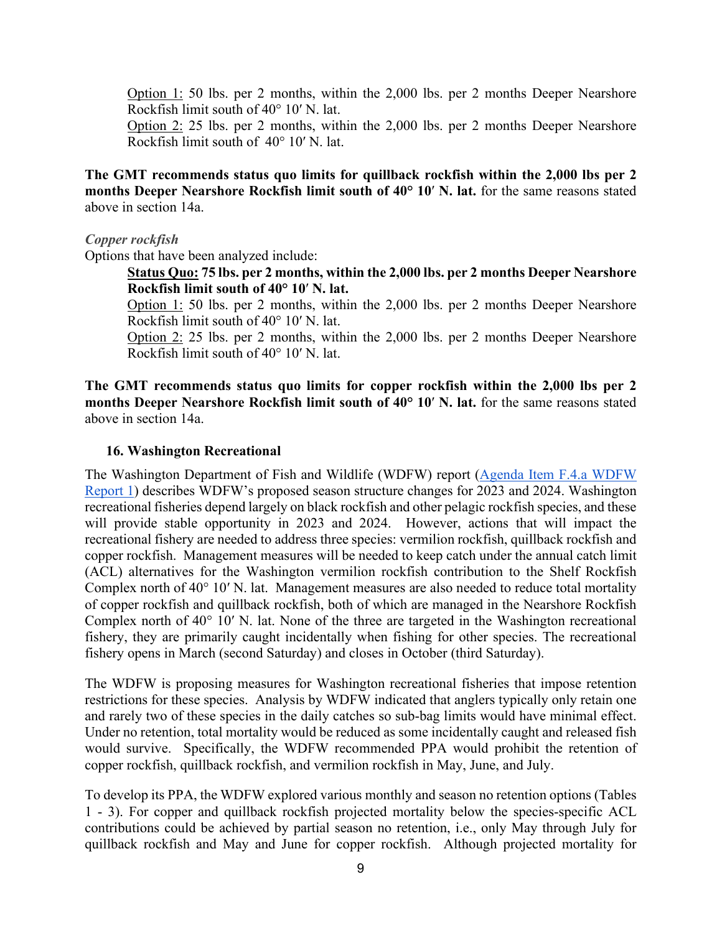Option 1: 50 lbs. per 2 months, within the 2,000 lbs. per 2 months Deeper Nearshore Rockfish limit south of 40° 10′ N. lat.

Option 2: 25 lbs. per 2 months, within the 2,000 lbs. per 2 months Deeper Nearshore Rockfish limit south of 40° 10′ N. lat.

**The GMT recommends status quo limits for quillback rockfish within the 2,000 lbs per 2 months Deeper Nearshore Rockfish limit south of 40° 10**′ **N. lat.** for the same reasons stated above in section 14a.

#### <span id="page-8-0"></span>*Copper rockfish*

Options that have been analyzed include:

**Status Quo: 75 lbs. per 2 months, within the 2,000 lbs. per 2 months Deeper Nearshore Rockfish limit south of 40° 10**′ **N. lat.**

Option 1: 50 lbs. per 2 months, within the 2,000 lbs. per 2 months Deeper Nearshore Rockfish limit south of 40° 10′ N. lat.

Option 2: 25 lbs. per 2 months, within the 2,000 lbs. per 2 months Deeper Nearshore Rockfish limit south of 40° 10′ N. lat.

**The GMT recommends status quo limits for copper rockfish within the 2,000 lbs per 2 months Deeper Nearshore Rockfish limit south of 40° 10**′ **N. lat.** for the same reasons stated above in section 14a.

#### <span id="page-8-1"></span>**16. Washington Recreational**

The Washington Department of Fish and Wildlife (WDFW) report [\(Agenda Item F.4.a WDFW](https://www.pcouncil.org/documents/2022/03/f-4-a-wdfw-report-1-washington-department-of-fish-and-wildlife-report-on-2023-and-2024-groundfish-management-measures.pdf/)  [Report 1\)](https://www.pcouncil.org/documents/2022/03/f-4-a-wdfw-report-1-washington-department-of-fish-and-wildlife-report-on-2023-and-2024-groundfish-management-measures.pdf/) describes WDFW's proposed season structure changes for 2023 and 2024. Washington recreational fisheries depend largely on black rockfish and other pelagic rockfish species, and these will provide stable opportunity in 2023 and 2024. However, actions that will impact the recreational fishery are needed to address three species: vermilion rockfish, quillback rockfish and copper rockfish. Management measures will be needed to keep catch under the annual catch limit (ACL) alternatives for the Washington vermilion rockfish contribution to the Shelf Rockfish Complex north of 40° 10′ N. lat. Management measures are also needed to reduce total mortality of copper rockfish and quillback rockfish, both of which are managed in the Nearshore Rockfish Complex north of 40° 10′ N. lat. None of the three are targeted in the Washington recreational fishery, they are primarily caught incidentally when fishing for other species. The recreational fishery opens in March (second Saturday) and closes in October (third Saturday).

The WDFW is proposing measures for Washington recreational fisheries that impose retention restrictions for these species. Analysis by WDFW indicated that anglers typically only retain one and rarely two of these species in the daily catches so sub-bag limits would have minimal effect. Under no retention, total mortality would be reduced as some incidentally caught and released fish would survive. Specifically, the WDFW recommended PPA would prohibit the retention of copper rockfish, quillback rockfish, and vermilion rockfish in May, June, and July.

To develop its PPA, the WDFW explored various monthly and season no retention options (Tables 1 - 3). For copper and quillback rockfish projected mortality below the species-specific ACL contributions could be achieved by partial season no retention, i.e., only May through July for quillback rockfish and May and June for copper rockfish. Although projected mortality for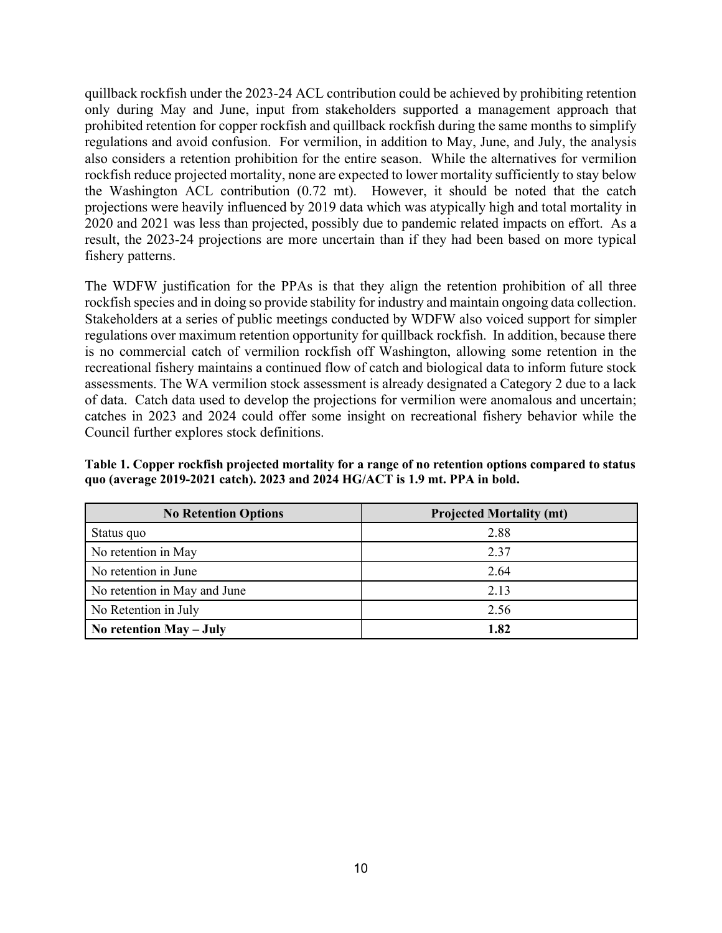quillback rockfish under the 2023-24 ACL contribution could be achieved by prohibiting retention only during May and June, input from stakeholders supported a management approach that prohibited retention for copper rockfish and quillback rockfish during the same months to simplify regulations and avoid confusion. For vermilion, in addition to May, June, and July, the analysis also considers a retention prohibition for the entire season. While the alternatives for vermilion rockfish reduce projected mortality, none are expected to lower mortality sufficiently to stay below the Washington ACL contribution (0.72 mt). However, it should be noted that the catch projections were heavily influenced by 2019 data which was atypically high and total mortality in 2020 and 2021 was less than projected, possibly due to pandemic related impacts on effort. As a result, the 2023-24 projections are more uncertain than if they had been based on more typical fishery patterns.

The WDFW justification for the PPAs is that they align the retention prohibition of all three rockfish species and in doing so provide stability for industry and maintain ongoing data collection. Stakeholders at a series of public meetings conducted by WDFW also voiced support for simpler regulations over maximum retention opportunity for quillback rockfish. In addition, because there is no commercial catch of vermilion rockfish off Washington, allowing some retention in the recreational fishery maintains a continued flow of catch and biological data to inform future stock assessments. The WA vermilion stock assessment is already designated a Category 2 due to a lack of data. Catch data used to develop the projections for vermilion were anomalous and uncertain; catches in 2023 and 2024 could offer some insight on recreational fishery behavior while the Council further explores stock definitions.

| Table 1. Copper rockfish projected mortality for a range of no retention options compared to status |  |
|-----------------------------------------------------------------------------------------------------|--|
| quo (average 2019-2021 catch). 2023 and 2024 HG/ACT is 1.9 mt. PPA in bold.                         |  |

| <b>No Retention Options</b>  | <b>Projected Mortality (mt)</b> |  |  |
|------------------------------|---------------------------------|--|--|
| Status quo                   | 2.88                            |  |  |
| No retention in May          | 2.37                            |  |  |
| No retention in June         | 2.64                            |  |  |
| No retention in May and June | 2.13                            |  |  |
| No Retention in July         | 2.56                            |  |  |
| No retention $May - July$    | 1.82                            |  |  |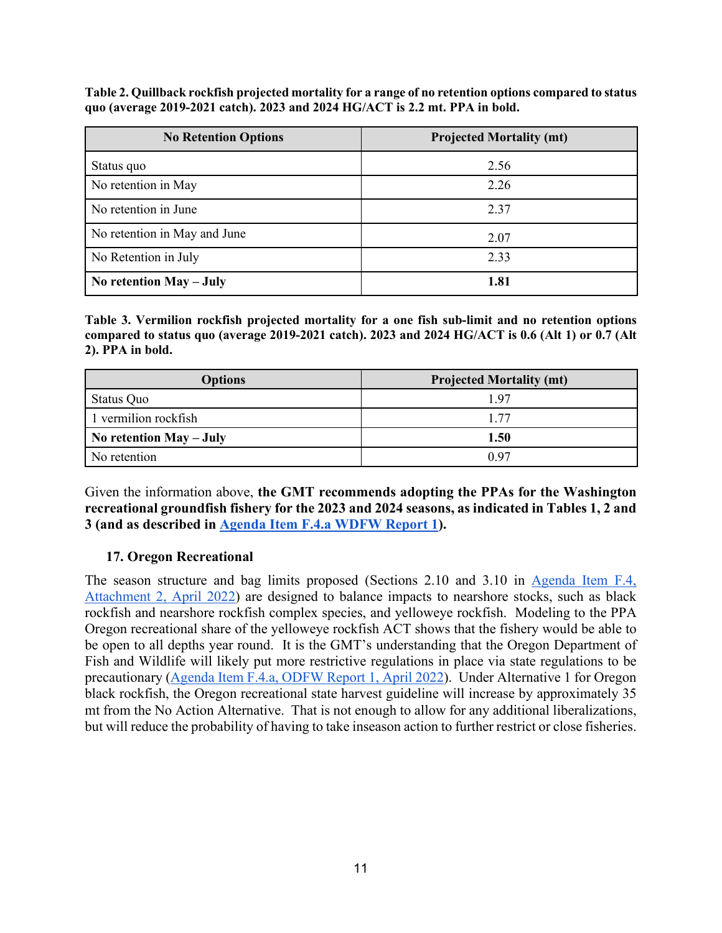**Table 2. Quillback rockfish projected mortality for a range of no retention options compared to status quo (average 2019-2021 catch). 2023 and 2024 HG/ACT is 2.2 mt. PPA in bold.**

| <b>No Retention Options</b>  | <b>Projected Mortality (mt)</b> |
|------------------------------|---------------------------------|
| Status quo                   | 2.56                            |
| No retention in May          | 2.26                            |
| No retention in June         | 2.37                            |
| No retention in May and June | 2.07                            |
| No Retention in July         | 2.33                            |
| No retention May - July      | 1.81                            |

**Table 3. Vermilion rockfish projected mortality for a one fish sub-limit and no retention options compared to status quo (average 2019-2021 catch). 2023 and 2024 HG/ACT is 0.6 (Alt 1) or 0.7 (Alt 2). PPA in bold.**

| <b>Options</b>          | <b>Projected Mortality (mt)</b> |
|-------------------------|---------------------------------|
| Status Quo              | 1.97                            |
| 1 vermilion rockfish    | 1.77                            |
| No retention May - July | 1.50                            |
| No retention            | 0.97                            |

Given the information above, **the GMT recommends adopting the PPAs for the Washington recreational groundfish fishery for the 2023 and 2024 seasons, as indicated in Tables 1, 2 and 3 (and as described in [Agenda Item F.4.a WDFW Report 1\)](https://www.pcouncil.org/documents/2022/03/f-4-a-wdfw-report-1-washington-department-of-fish-and-wildlife-report-on-2023-and-2024-groundfish-management-measures.pdf/).**

# <span id="page-10-0"></span>**17. Oregon Recreational**

The season structure and bag limits proposed (Sections 2.10 and 3.10 in [Agenda Item F.4,](https://www.pcouncil.org/documents/2022/03/f-4-attachment-2-2023-2024-management-measure-analytical-document-electronic-only.pdf/)  [Attachment 2, April 2022\)](https://www.pcouncil.org/documents/2022/03/f-4-attachment-2-2023-2024-management-measure-analytical-document-electronic-only.pdf/) are designed to balance impacts to nearshore stocks, such as black rockfish and nearshore rockfish complex species, and yelloweye rockfish. Modeling to the PPA Oregon recreational share of the yelloweye rockfish ACT shows that the fishery would be able to be open to all depths year round. It is the GMT's understanding that the Oregon Department of Fish and Wildlife will likely put more restrictive regulations in place via state regulations to be precautionary [\(Agenda Item F.4.a, ODFW Report 1, April 2022\)](https://www.pcouncil.org/documents/2022/03/f-4-a-odfw-report-1-oregon-department-of-fish-and-wildlife-report-on-the-2023-24-biennial-management-measures-for-the-oregon-recreational-fishery.pdf/). Under Alternative 1 for Oregon black rockfish, the Oregon recreational state harvest guideline will increase by approximately 35 mt from the No Action Alternative. That is not enough to allow for any additional liberalizations, but will reduce the probability of having to take inseason action to further restrict or close fisheries.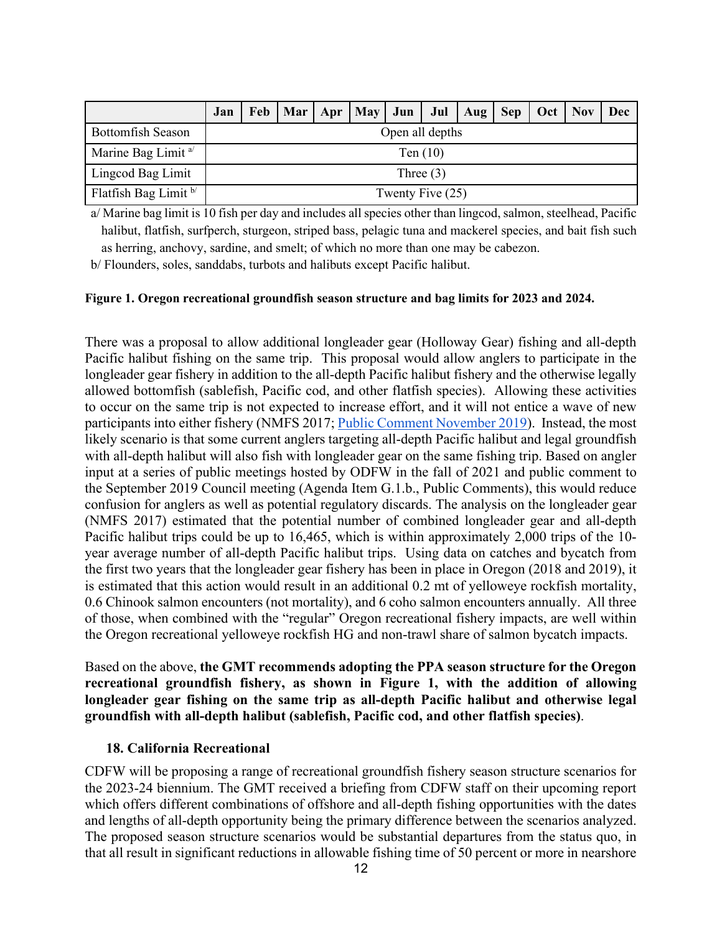|                               | Jan              |  |  |  |  | Feb   Mar   Apr   May   Jun   Jul   Aug   Sep   Oct   Nov   Dec |  |  |  |  |  |  |
|-------------------------------|------------------|--|--|--|--|-----------------------------------------------------------------|--|--|--|--|--|--|
| <b>Bottomfish Season</b>      | Open all depths  |  |  |  |  |                                                                 |  |  |  |  |  |  |
| Marine Bag Limit <sup>a</sup> | Ten $(10)$       |  |  |  |  |                                                                 |  |  |  |  |  |  |
| Lingcod Bag Limit             | Three $(3)$      |  |  |  |  |                                                                 |  |  |  |  |  |  |
| Flatfish Bag Limit b          | Twenty Five (25) |  |  |  |  |                                                                 |  |  |  |  |  |  |

a/ Marine bag limit is 10 fish per day and includes all species other than lingcod, salmon, steelhead, Pacific halibut, flatfish, surfperch, sturgeon, striped bass, pelagic tuna and mackerel species, and bait fish such as herring, anchovy, sardine, and smelt; of which no more than one may be cabezon.

b/ Flounders, soles, sanddabs, turbots and halibuts except Pacific halibut.

#### **Figure 1. Oregon recreational groundfish season structure and bag limits for 2023 and 2024.**

There was a proposal to allow additional longleader gear (Holloway Gear) fishing and all-depth Pacific halibut fishing on the same trip. This proposal would allow anglers to participate in the longleader gear fishery in addition to the all-depth Pacific halibut fishery and the otherwise legally allowed bottomfish (sablefish, Pacific cod, and other flatfish species). Allowing these activities to occur on the same trip is not expected to increase effort, and it will not entice a wave of new participants into either fishery (NMFS 2017[; Public Comment November 2019\)](https://pfmc.psmfc.org/Meeting/Details/863?agendaID=4652). Instead, the most likely scenario is that some current anglers targeting all-depth Pacific halibut and legal groundfish with all-depth halibut will also fish with longleader gear on the same fishing trip. Based on angler input at a series of public meetings hosted by ODFW in the fall of 2021 and public comment to the September 2019 Council meeting (Agenda Item G.1.b., Public Comments), this would reduce confusion for anglers as well as potential regulatory discards. The analysis on the longleader gear (NMFS 2017) estimated that the potential number of combined longleader gear and all-depth Pacific halibut trips could be up to 16,465, which is within approximately 2,000 trips of the 10 year average number of all-depth Pacific halibut trips. Using data on catches and bycatch from the first two years that the longleader gear fishery has been in place in Oregon (2018 and 2019), it is estimated that this action would result in an additional 0.2 mt of yelloweye rockfish mortality, 0.6 Chinook salmon encounters (not mortality), and 6 coho salmon encounters annually. All three of those, when combined with the "regular" Oregon recreational fishery impacts, are well within the Oregon recreational yelloweye rockfish HG and non-trawl share of salmon bycatch impacts.

Based on the above, **the GMT recommends adopting the PPA season structure for the Oregon recreational groundfish fishery, as shown in Figure 1, with the addition of allowing longleader gear fishing on the same trip as all-depth Pacific halibut and otherwise legal groundfish with all-depth halibut (sablefish, Pacific cod, and other flatfish species)**.

#### <span id="page-11-0"></span>**18. California Recreational**

CDFW will be proposing a range of recreational groundfish fishery season structure scenarios for the 2023-24 biennium. The GMT received a briefing from CDFW staff on their upcoming report which offers different combinations of offshore and all-depth fishing opportunities with the dates and lengths of all-depth opportunity being the primary difference between the scenarios analyzed. The proposed season structure scenarios would be substantial departures from the status quo, in that all result in significant reductions in allowable fishing time of 50 percent or more in nearshore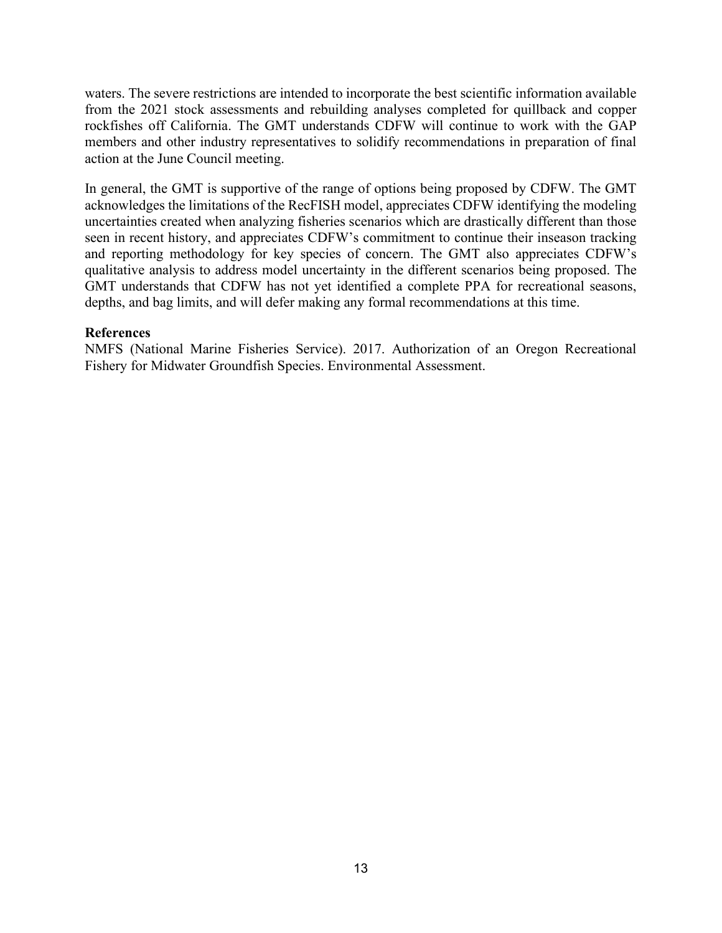waters. The severe restrictions are intended to incorporate the best scientific information available from the 2021 stock assessments and rebuilding analyses completed for quillback and copper rockfishes off California. The GMT understands CDFW will continue to work with the GAP members and other industry representatives to solidify recommendations in preparation of final action at the June Council meeting.

In general, the GMT is supportive of the range of options being proposed by CDFW. The GMT acknowledges the limitations of the RecFISH model, appreciates CDFW identifying the modeling uncertainties created when analyzing fisheries scenarios which are drastically different than those seen in recent history, and appreciates CDFW's commitment to continue their inseason tracking and reporting methodology for key species of concern. The GMT also appreciates CDFW's qualitative analysis to address model uncertainty in the different scenarios being proposed. The GMT understands that CDFW has not yet identified a complete PPA for recreational seasons, depths, and bag limits, and will defer making any formal recommendations at this time.

## <span id="page-12-0"></span>**References**

NMFS (National Marine Fisheries Service). 2017. Authorization of an Oregon Recreational Fishery for Midwater Groundfish Species. Environmental Assessment.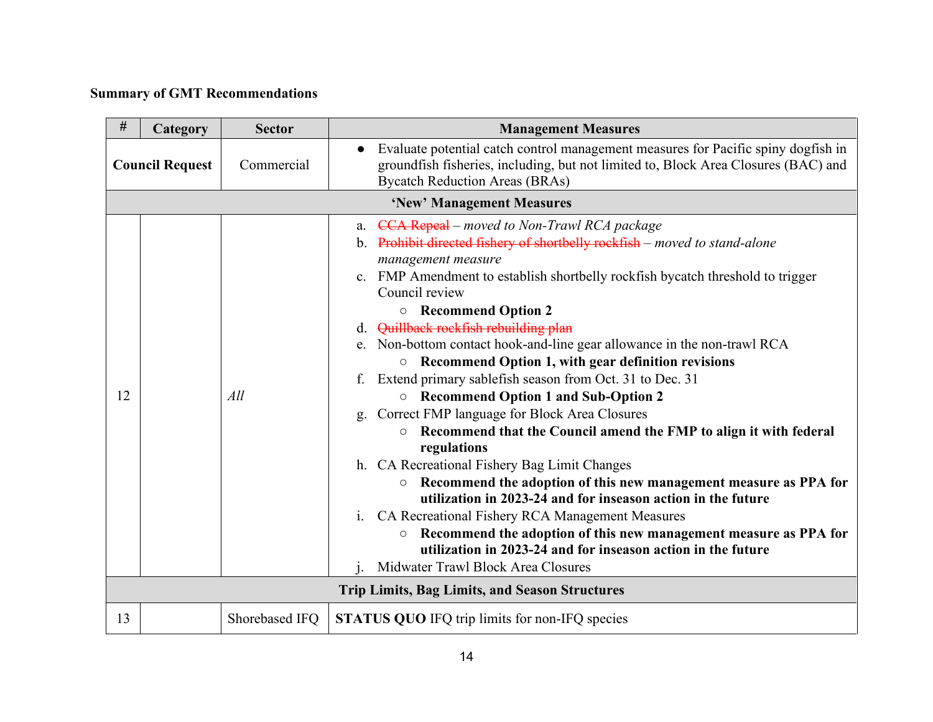# **Summary of GMT Recommendations**

<span id="page-13-0"></span>

| $\#$                   | Category                  | <b>Sector</b>  | <b>Management Measures</b>                                                                                                                                                                                                                                                                                                                                                                                                                                                                                                                                                                                                                                                                                                                                                                                                                                                                                                                                                                                                                                                                                                                                                    |  |  |  |  |
|------------------------|---------------------------|----------------|-------------------------------------------------------------------------------------------------------------------------------------------------------------------------------------------------------------------------------------------------------------------------------------------------------------------------------------------------------------------------------------------------------------------------------------------------------------------------------------------------------------------------------------------------------------------------------------------------------------------------------------------------------------------------------------------------------------------------------------------------------------------------------------------------------------------------------------------------------------------------------------------------------------------------------------------------------------------------------------------------------------------------------------------------------------------------------------------------------------------------------------------------------------------------------|--|--|--|--|
| <b>Council Request</b> |                           | Commercial     | Evaluate potential catch control management measures for Pacific spiny dogfish in<br>$\bullet$<br>groundfish fisheries, including, but not limited to, Block Area Closures (BAC) and<br><b>Bycatch Reduction Areas (BRAs)</b>                                                                                                                                                                                                                                                                                                                                                                                                                                                                                                                                                                                                                                                                                                                                                                                                                                                                                                                                                 |  |  |  |  |
|                        | 'New' Management Measures |                |                                                                                                                                                                                                                                                                                                                                                                                                                                                                                                                                                                                                                                                                                                                                                                                                                                                                                                                                                                                                                                                                                                                                                                               |  |  |  |  |
| 12                     |                           | All            | a. CCA Repeal - moved to Non-Trawl RCA package<br>b. Prohibit directed fishery of shortbelly rockfish - moved to stand-alone<br>management measure<br>c. FMP Amendment to establish shortbelly rockfish bycatch threshold to trigger<br>Council review<br><b>O</b> Recommend Option 2<br>d. Quillback rockfish rebuilding plan<br>e. Non-bottom contact hook-and-line gear allowance in the non-trawl RCA<br>Recommend Option 1, with gear definition revisions<br>$\circ$<br>f. Extend primary sablefish season from Oct. 31 to Dec. 31<br>○ Recommend Option 1 and Sub-Option 2<br>Correct FMP language for Block Area Closures<br>g.<br>Recommend that the Council amend the FMP to align it with federal<br>$\circ$<br>regulations<br>h. CA Recreational Fishery Bag Limit Changes<br>Recommend the adoption of this new management measure as PPA for<br>$\circ$<br>utilization in 2023-24 and for inseason action in the future<br>CA Recreational Fishery RCA Management Measures<br>1.<br>Recommend the adoption of this new management measure as PPA for<br>О<br>utilization in 2023-24 and for inseason action in the future<br>Midwater Trawl Block Area Closures |  |  |  |  |
|                        |                           |                | <b>Trip Limits, Bag Limits, and Season Structures</b>                                                                                                                                                                                                                                                                                                                                                                                                                                                                                                                                                                                                                                                                                                                                                                                                                                                                                                                                                                                                                                                                                                                         |  |  |  |  |
| 13                     |                           | Shorebased IFQ | <b>STATUS QUO IFQ trip limits for non-IFQ species</b>                                                                                                                                                                                                                                                                                                                                                                                                                                                                                                                                                                                                                                                                                                                                                                                                                                                                                                                                                                                                                                                                                                                         |  |  |  |  |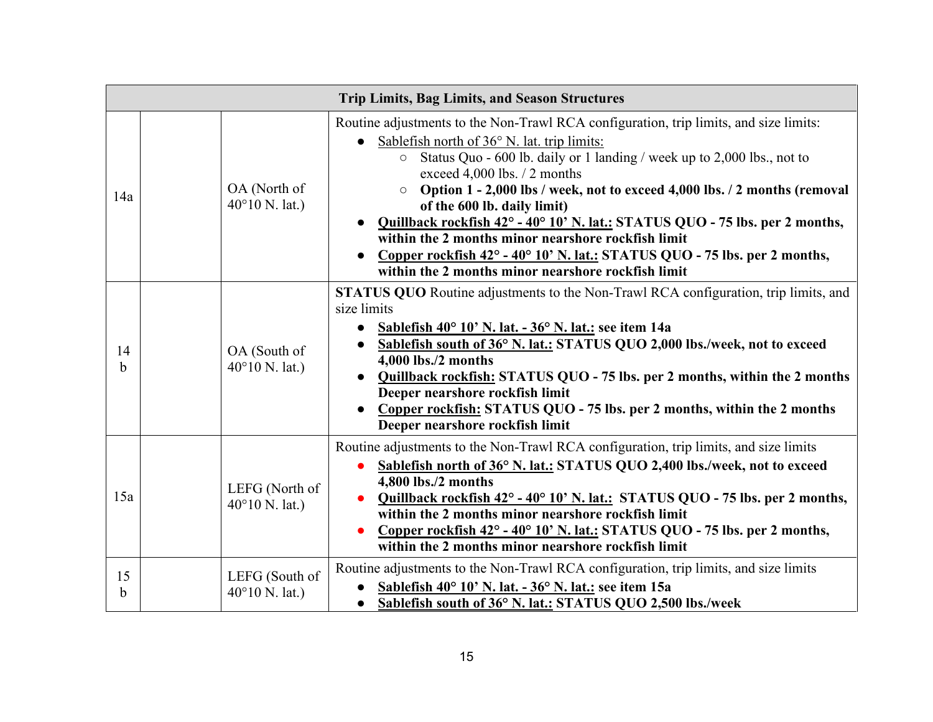|                   | <b>Trip Limits, Bag Limits, and Season Structures</b> |                                                                                                                                                                                                                                                                                                                                                                                                                                                                                                                                                                                                                                                                     |  |  |  |  |  |
|-------------------|-------------------------------------------------------|---------------------------------------------------------------------------------------------------------------------------------------------------------------------------------------------------------------------------------------------------------------------------------------------------------------------------------------------------------------------------------------------------------------------------------------------------------------------------------------------------------------------------------------------------------------------------------------------------------------------------------------------------------------------|--|--|--|--|--|
| 14a               | OA (North of<br>$40^{\circ}10$ N. lat.)               | Routine adjustments to the Non-Trawl RCA configuration, trip limits, and size limits:<br>Sablefish north of $36^{\circ}$ N. lat. trip limits:<br>Status Quo - 600 lb. daily or 1 landing / week up to 2,000 lbs., not to<br>$\circ$<br>exceed 4,000 lbs. / 2 months<br>Option 1 - 2,000 lbs / week, not to exceed 4,000 lbs. / 2 months (removal<br>$\circ$<br>of the 600 lb. daily limit)<br>Quillback rockfish 42° - 40° 10' N. lat.: STATUS QUO - 75 lbs. per 2 months,<br>within the 2 months minor nearshore rockfish limit<br>Copper rockfish 42° - 40° 10' N. lat.: STATUS QUO - 75 lbs. per 2 months,<br>within the 2 months minor nearshore rockfish limit |  |  |  |  |  |
| 14<br>$\mathbf b$ | OA (South of<br>$40^{\circ}10$ N. lat.)               | <b>STATUS QUO</b> Routine adjustments to the Non-Trawl RCA configuration, trip limits, and<br>size limits<br>Sablefish 40° 10' N. lat. - 36° N. lat.: see item 14a<br>Sablefish south of 36° N. lat.: STATUS QUO 2,000 lbs./week, not to exceed<br>4,000 lbs./2 months<br>Quillback rockfish: STATUS QUO - 75 lbs. per 2 months, within the 2 months<br>Deeper nearshore rockfish limit<br>Copper rockfish: STATUS QUO - 75 lbs. per 2 months, within the 2 months<br>Deeper nearshore rockfish limit                                                                                                                                                               |  |  |  |  |  |
| 15a               | LEFG (North of<br>$40^{\circ}10$ N. lat.)             | Routine adjustments to the Non-Trawl RCA configuration, trip limits, and size limits<br>Sablefish north of 36° N. lat.: STATUS QUO 2,400 lbs./week, not to exceed<br>$\bullet$<br>4,800 lbs./2 months<br>Quillback rockfish 42° - 40° 10' N. lat.: STATUS QUO - 75 lbs. per 2 months,<br>within the 2 months minor nearshore rockfish limit<br>Copper rockfish 42° - 40° 10' N. lat.: STATUS QUO - 75 lbs. per 2 months,<br>within the 2 months minor nearshore rockfish limit                                                                                                                                                                                      |  |  |  |  |  |
| 15<br>$\mathbf b$ | LEFG (South of<br>$40^{\circ}10$ N. lat.)             | Routine adjustments to the Non-Trawl RCA configuration, trip limits, and size limits<br>Sablefish 40° 10' N. lat. - 36° N. lat.: see item 15a<br>• Sablefish south of 36° N. lat.: STATUS QUO 2,500 lbs./week                                                                                                                                                                                                                                                                                                                                                                                                                                                       |  |  |  |  |  |